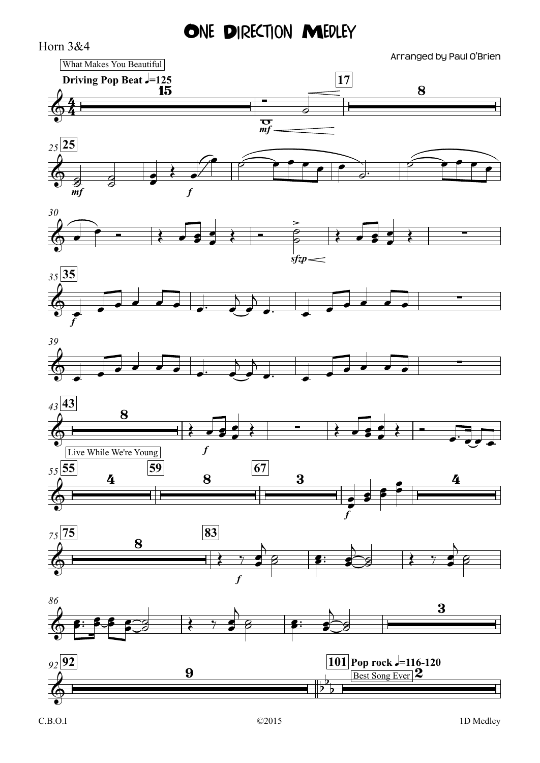ONE DIRECTION MEDLEY

Horn 3&4  $\frac{1}{\sigma}$  *mf* **Driving Pop Beat**  $\sqrt{=}125$  **<b>17 17** *mf f <sup>25</sup>* **25** *sfzp 30 f <sup>35</sup>* **35** *39 f <sup>43</sup>* **43** *f*  $\frac{55}{0}$  **4 59 8 67 3** *f <sup>75</sup>* **75 83** *86 <sup>92</sup>* **92 101 Pop rock** q**=116-120**  $64 \frac{1}{15}$  8 Arranged by Paul O'Brien What Makes You Beautiful  $\overline{\bigoplus_{mf}}$  $\circ$   $\circ$   $\circ$   $\circ$  $\frac{2}{2}$ ∑ & ∑ & ∑  $\bigcirc$ 8 ∑  $\bigcirc$  $4 \frac{59}{8} \frac{67}{3}$  1 2 4 Live While We're Young  $\bigcirc$ 8  $\bigcirc$  8:35 por 3  $\bigcirc$ 9  $b^b$ <sub>p</sub>  $\vdash$  $\flat$ b  $\overline{\phantom{a}}$ Pop rock  $J=116-120$ <br>Best Song Ever 2  $\begin{array}{c} \begin{array}{c} \begin{array}{c} \text{ } \\ \text{ } \\ \text{ } \\ \text{ } \\ \end{array} \end{array}$  $\frac{1}{2}$   $\frac{1}{2}$   $\frac{1}{2}$ **<u>a</u>** et  $e$   $\leftrightarrow$   $e$  $\sum$  $\epsilon$  $\frac{1}{\sigma}$  $\overrightarrow{e}$  $\bullet$   $\bullet$   $\bullet$   $\bullet$   $\bullet$   $\bullet$   $\bullet$   $\bullet$ œ Œ Ó ˙  $\circ$   $\bullet$  $\epsilon$  e e e  $\epsilon$  $\bullet$   $\bullet$  $\overrightarrow{e}$  $\overrightarrow{e}$ œ œ œ œ œ™ œ  $\overline{)}$  $\frac{1}{2}$  $\overline{)}$ œ™ œ  $\overrightarrow{e}$ œ œ œ œ œ  $\overrightarrow{e}$ œ œ œ œ œ™ œ  $\overline{\phantom{a}}$  $\frac{1}{2}$  $\overline{)}$ œ™ œ  $\overrightarrow{e}$ œ œ œ œ  $\epsilon$  e e e  $\epsilon$ <sup>œ</sup> <sup>Œ</sup> <sup>Œ</sup> <sup>œ</sup> <sup>œ</sup> <sup>œ</sup>  $\bullet$   $\leftarrow$   $\bullet$   $\bullet$   $\bullet$ e <del>a r</del><br>C  $e$   $e$   $e$   $e$  $\overline{\cdot}$  $\epsilon$  $\epsilon$  $\leftrightarrow$  $\frac{1}{2}$   $\frac{1}{2}$  $\overline{)}$ e s:  $\frac{1}{\sqrt{2}}$  $\rightarrow$  $\frac{1}{2}$  $\leftrightarrow$  $\frac{1}{2}$   $\frac{1}{2}$  $\overline{)}$  $\overline{\mathscr{E}}$ s∷ f ™ œ œ œ  $\frac{1}{2}$  $\frac{1}{6}$   $\frac{1}{6}$   $\frac{1}{6}$   $\frac{1}{6}$   $\frac{1}{6}$   $\frac{1}{6}$   $\frac{1}{6}$   $\frac{1}{6}$   $\frac{1}{6}$   $\frac{1}{6}$  $\frac{1}{8}$  $\overline{)}$ e p:  $\frac{1}{\sqrt{2}}$  $\overline{\phantom{0}}$ g ||